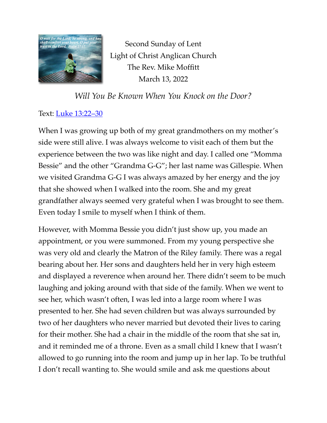

Second Sunday of Lent Light of Christ Anglican Church The Rev. Mike Moffitt March 13, 2022

*Will You Be Known When You Knock on the Door?*

## Text: *Luke* 13:22–30

When I was growing up both of my great grandmothers on my mother's side were still alive. I was always welcome to visit each of them but the experience between the two was like night and day. I called one "Momma Bessie" and the other "Grandma G-G"; her last name was Gillespie. When we visited Grandma G-G I was always amazed by her energy and the joy that she showed when I walked into the room. She and my great grandfather always seemed very grateful when I was brought to see them. Even today I smile to myself when I think of them.

However, with Momma Bessie you didn't just show up, you made an appointment, or you were summoned. From my young perspective she was very old and clearly the Matron of the Riley family. There was a regal bearing about her. Her sons and daughters held her in very high esteem and displayed a reverence when around her. There didn't seem to be much laughing and joking around with that side of the family. When we went to see her, which wasn't often, I was led into a large room where I was presented to her. She had seven children but was always surrounded by two of her daughters who never married but devoted their lives to caring for their mother. She had a chair in the middle of the room that she sat in, and it reminded me of a throne. Even as a small child I knew that I wasn't allowed to go running into the room and jump up in her lap. To be truthful I don't recall wanting to. She would smile and ask me questions about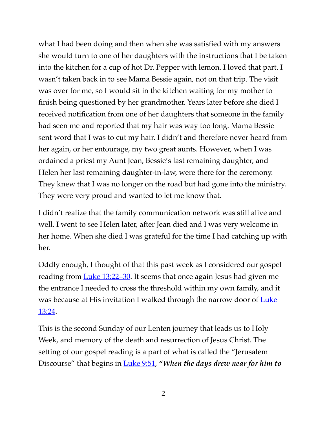what I had been doing and then when she was satisfied with my answers she would turn to one of her daughters with the instructions that I be taken into the kitchen for a cup of hot Dr. Pepper with lemon. I loved that part. I wasn't taken back in to see Mama Bessie again, not on that trip. The visit was over for me, so I would sit in the kitchen waiting for my mother to finish being questioned by her grandmother. Years later before she died I received notification from one of her daughters that someone in the family had seen me and reported that my hair was way too long. Mama Bessie sent word that I was to cut my hair. I didn't and therefore never heard from her again, or her entourage, my two great aunts. However, when I was ordained a priest my Aunt Jean, Bessie's last remaining daughter, and Helen her last remaining daughter-in-law, were there for the ceremony. They knew that I was no longer on the road but had gone into the ministry. They were very proud and wanted to let me know that.

I didn't realize that the family communication network was still alive and well. I went to see Helen later, after Jean died and I was very welcome in her home. When she died I was grateful for the time I had catching up with her.

Oddly enough, I thought of that this past week as I considered our gospel reading from [Luke 13:22–30.](https://www.biblegateway.com/passage/?search=Luke+13:22%E2%80%9330&version=ESV) It seems that once again Jesus had given me the entrance I needed to cross the threshold within my own family, and it was because at His invitation I walked through the narrow door of Luke [13:24.](https://www.biblegateway.com/passage/?search=Luke+13:24&version=ESV)

This is the second Sunday of our Lenten journey that leads us to Holy Week, and memory of the death and resurrection of Jesus Christ. The setting of our gospel reading is a part of what is called the "Jerusalem Discourse" that begins in [Luke 9:51,](https://www.biblegateway.com/passage/?search=Luke+9:51&version=ESV) *"When the days drew near for him to*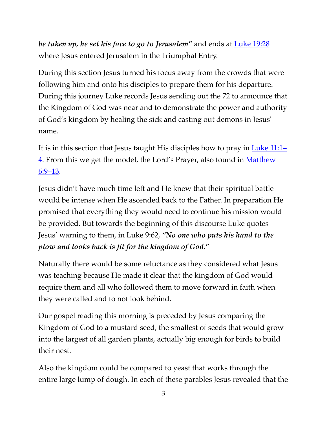*be taken up, he set his face to go to Jerusalem"* and ends at [Luke 19:28](https://www.biblegateway.com/passage/?search=Luke+19:28&version=ESV) where Jesus entered Jerusalem in the Triumphal Entry.

During this section Jesus turned his focus away from the crowds that were following him and onto his disciples to prepare them for his departure. During this journey Luke records Jesus sending out the 72 to announce that the Kingdom of God was near and to demonstrate the power and authority of God's kingdom by healing the sick and casting out demons in Jesus' name.

It is in this section that Jesus taught His disciples how to pray in [Luke 11:1–](https://www.biblegateway.com/passage/?search=Luke+11:1%E2%80%934&version=ESV) [4](https://www.biblegateway.com/passage/?search=Luke+11:1%E2%80%934&version=ESV). From this we get the model, the Lord's Prayer, also found in Matthew [6:9–13](https://www.biblegateway.com/passage/?search=Matthew+6:9%E2%80%9313&version=ESV).

Jesus didn't have much time left and He knew that their spiritual battle would be intense when He ascended back to the Father. In preparation He promised that everything they would need to continue his mission would be provided. But towards the beginning of this discourse Luke quotes Jesus' warning to them, in Luke 9:62, *"No one who puts his hand to the plow and looks back is fit for the kingdom of God."*

Naturally there would be some reluctance as they considered what Jesus was teaching because He made it clear that the kingdom of God would require them and all who followed them to move forward in faith when they were called and to not look behind.

Our gospel reading this morning is preceded by Jesus comparing the Kingdom of God to a mustard seed, the smallest of seeds that would grow into the largest of all garden plants, actually big enough for birds to build their nest.

Also the kingdom could be compared to yeast that works through the entire large lump of dough. In each of these parables Jesus revealed that the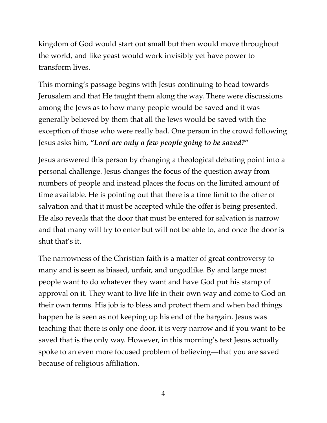kingdom of God would start out small but then would move throughout the world, and like yeast would work invisibly yet have power to transform lives.

This morning's passage begins with Jesus continuing to head towards Jerusalem and that He taught them along the way. There were discussions among the Jews as to how many people would be saved and it was generally believed by them that all the Jews would be saved with the exception of those who were really bad. One person in the crowd following Jesus asks him, *"Lord are only a few people going to be saved?"*

Jesus answered this person by changing a theological debating point into a personal challenge. Jesus changes the focus of the question away from numbers of people and instead places the focus on the limited amount of time available. He is pointing out that there is a time limit to the offer of salvation and that it must be accepted while the offer is being presented. He also reveals that the door that must be entered for salvation is narrow and that many will try to enter but will not be able to, and once the door is shut that's it.

The narrowness of the Christian faith is a matter of great controversy to many and is seen as biased, unfair, and ungodlike. By and large most people want to do whatever they want and have God put his stamp of approval on it. They want to live life in their own way and come to God on their own terms. His job is to bless and protect them and when bad things happen he is seen as not keeping up his end of the bargain. Jesus was teaching that there is only one door, it is very narrow and if you want to be saved that is the only way. However, in this morning's text Jesus actually spoke to an even more focused problem of believing—that you are saved because of religious affiliation.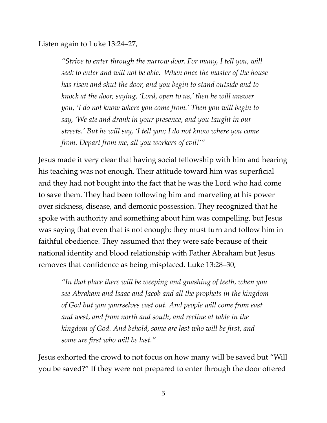Listen again to Luke 13:24–27,

*"Strive to enter through the narrow door. For many, I tell you, will seek to enter and will not be able. When once the master of the house has risen and shut the door, and you begin to stand outside and to knock at the door, saying, 'Lord, open to us,' then he will answer you, 'I do not know where you come from.' Then you will begin to say, 'We ate and drank in your presence, and you taught in our streets.' But he will say, 'I tell you; I do not know where you come from. Depart from me, all you workers of evil!'"*

Jesus made it very clear that having social fellowship with him and hearing his teaching was not enough. Their attitude toward him was superficial and they had not bought into the fact that he was the Lord who had come to save them. They had been following him and marveling at his power over sickness, disease, and demonic possession. They recognized that he spoke with authority and something about him was compelling, but Jesus was saying that even that is not enough; they must turn and follow him in faithful obedience. They assumed that they were safe because of their national identity and blood relationship with Father Abraham but Jesus removes that confidence as being misplaced. Luke 13:28–30,

*"In that place there will be weeping and gnashing of teeth, when you see Abraham and Isaac and Jacob and all the prophets in the kingdom of God but you yourselves cast out. And people will come from east and west, and from north and south, and recline at table in the kingdom of God. And behold, some are last who will be first, and some are first who will be last."*

Jesus exhorted the crowd to not focus on how many will be saved but "Will you be saved?" If they were not prepared to enter through the door offered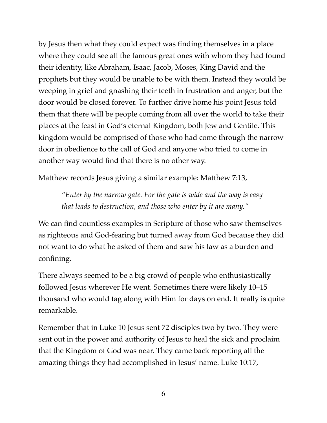by Jesus then what they could expect was finding themselves in a place where they could see all the famous great ones with whom they had found their identity, like Abraham, Isaac, Jacob, Moses, King David and the prophets but they would be unable to be with them. Instead they would be weeping in grief and gnashing their teeth in frustration and anger, but the door would be closed forever. To further drive home his point Jesus told them that there will be people coming from all over the world to take their places at the feast in God's eternal Kingdom, both Jew and Gentile. This kingdom would be comprised of those who had come through the narrow door in obedience to the call of God and anyone who tried to come in another way would find that there is no other way.

Matthew records Jesus giving a similar example: Matthew 7:13,

*"Enter by the narrow gate. For the gate is wide and the way is easy that leads to destruction, and those who enter by it are many."*

We can find countless examples in Scripture of those who saw themselves as righteous and God-fearing but turned away from God because they did not want to do what he asked of them and saw his law as a burden and confining.

There always seemed to be a big crowd of people who enthusiastically followed Jesus wherever He went. Sometimes there were likely 10–15 thousand who would tag along with Him for days on end. It really is quite remarkable.

Remember that in Luke 10 Jesus sent 72 disciples two by two. They were sent out in the power and authority of Jesus to heal the sick and proclaim that the Kingdom of God was near. They came back reporting all the amazing things they had accomplished in Jesus' name. Luke 10:17,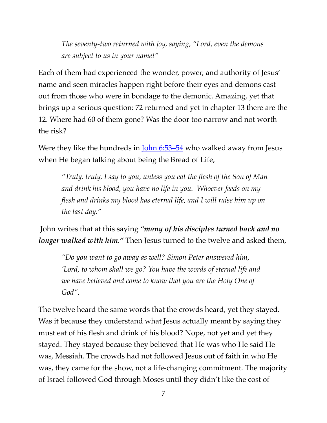*The seventy-two returned with joy, saying, "Lord, even the demons are subject to us in your name!"*

Each of them had experienced the wonder, power, and authority of Jesus' name and seen miracles happen right before their eyes and demons cast out from those who were in bondage to the demonic. Amazing, yet that brings up a serious question: 72 returned and yet in chapter 13 there are the 12. Where had 60 of them gone? Was the door too narrow and not worth the risk?

Were they like the hundreds in *[John 6:53–54](https://www.biblegateway.com/passage/?search=John+6:53%E2%80%9354&version=ESV)* who walked away from Jesus when He began talking about being the Bread of Life,

*"Truly, truly, I say to you, unless you eat the flesh of the Son of Man and drink his blood, you have no life in you. Whoever feeds on my flesh and drinks my blood has eternal life, and I will raise him up on the last day."*

 John writes that at this saying *"many of his disciples turned back and no longer walked with him.*" Then Jesus turned to the twelve and asked them,

*"Do you want to go away as well? Simon Peter answered him, 'Lord, to whom shall we go? You have the words of eternal life and we have believed and come to know that you are the Holy One of God".*

The twelve heard the same words that the crowds heard, yet they stayed. Was it because they understand what Jesus actually meant by saying they must eat of his flesh and drink of his blood? Nope, not yet and yet they stayed. They stayed because they believed that He was who He said He was, Messiah. The crowds had not followed Jesus out of faith in who He was, they came for the show, not a life-changing commitment. The majority of Israel followed God through Moses until they didn't like the cost of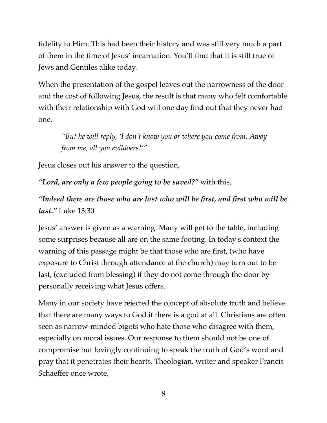fidelity to Him. This had been their history and was still very much a part of them in the time of Jesus' incarnation. You'll find that it is still true of Jews and Gentiles alike today.

When the presentation of the gospel leaves out the narrowness of the door and the cost of following Jesus, the result is that many who felt comfortable with their relationship with God will one day find out that they never had one.

*"But he will reply, 'I don't know you or where you come from. Away from me, all you evildoers!'"*

Jesus closes out his answer to the question,

*"Lord, are only a few people going to be saved?"* with this,

*"Indeed there are those who are last who will be first, and first who will be last."* Luke 13:30

Jesus' answer is given as a warning. Many will get to the table, including some surprises because all are on the same footing. In today's context the warning of this passage might be that those who are first, (who have exposure to Christ through attendance at the church) may turn out to be last, (excluded from blessing) if they do not come through the door by personally receiving what Jesus offers.

Many in our society have rejected the concept of absolute truth and believe that there are many ways to God if there is a god at all. Christians are often seen as narrow-minded bigots who hate those who disagree with them, especially on moral issues. Our response to them should not be one of compromise but lovingly continuing to speak the truth of God's word and pray that it penetrates their hearts. Theologian, writer and speaker Francis Schaeffer once wrote,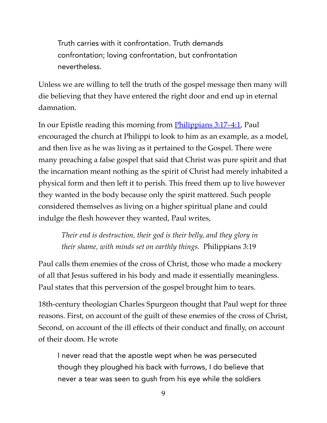Truth carries with it confrontation. Truth demands confrontation; loving confrontation, but confrontation nevertheless.

Unless we are willing to tell the truth of the gospel message then many will die believing that they have entered the right door and end up in eternal damnation.

In our Epistle reading this morning from [Philippians 3:17–4:1,](https://www.biblegateway.com/passage/?search=Philippians+3:17%E2%80%934:1&version=ESV) Paul encouraged the church at Philippi to look to him as an example, as a model, and then live as he was living as it pertained to the Gospel. There were many preaching a false gospel that said that Christ was pure spirit and that the incarnation meant nothing as the spirit of Christ had merely inhabited a physical form and then left it to perish. This freed them up to live however they wanted in the body because only the spirit mattered. Such people considered themselves as living on a higher spiritual plane and could indulge the flesh however they wanted, Paul writes,

*Their end is destruction, their god is their belly, and they glory in their shame, with minds set on earthly things.* Philippians 3:19

Paul calls them enemies of the cross of Christ, those who made a mockery of all that Jesus suffered in his body and made it essentially meaningless. Paul states that this perversion of the gospel brought him to tears.

18th-century theologian Charles Spurgeon thought that Paul wept for three reasons. First, on account of the guilt of these enemies of the cross of Christ, Second, on account of the ill effects of their conduct and finally, on account of their doom. He wrote

I never read that the apostle wept when he was persecuted though they ploughed his back with furrows, I do believe that never a tear was seen to gush from his eye while the soldiers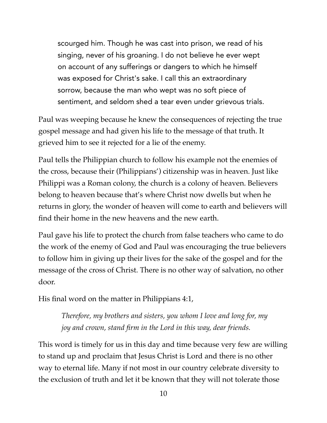scourged him. Though he was cast into prison, we read of his singing, never of his groaning. I do not believe he ever wept on account of any sufferings or dangers to which he himself was exposed for Christ's sake. I call this an extraordinary sorrow, because the man who wept was no soft piece of sentiment, and seldom shed a tear even under grievous trials.

Paul was weeping because he knew the consequences of rejecting the true gospel message and had given his life to the message of that truth. It grieved him to see it rejected for a lie of the enemy.

Paul tells the Philippian church to follow his example not the enemies of the cross, because their (Philippians') citizenship was in heaven. Just like Philippi was a Roman colony, the church is a colony of heaven. Believers belong to heaven because that's where Christ now dwells but when he returns in glory, the wonder of heaven will come to earth and believers will find their home in the new heavens and the new earth.

Paul gave his life to protect the church from false teachers who came to do the work of the enemy of God and Paul was encouraging the true believers to follow him in giving up their lives for the sake of the gospel and for the message of the cross of Christ. There is no other way of salvation, no other door.

His final word on the matter in Philippians 4:1,

*Therefore, my brothers and sisters, you whom I love and long for, my joy and crown, stand firm in the Lord in this way, dear friends.*

This word is timely for us in this day and time because very few are willing to stand up and proclaim that Jesus Christ is Lord and there is no other way to eternal life. Many if not most in our country celebrate diversity to the exclusion of truth and let it be known that they will not tolerate those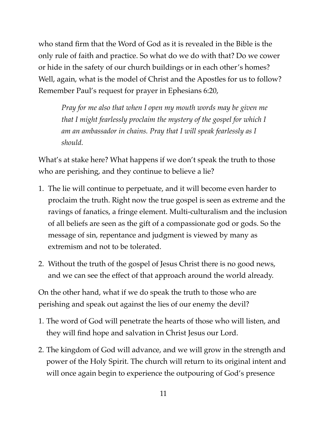who stand firm that the Word of God as it is revealed in the Bible is the only rule of faith and practice. So what do we do with that? Do we cower or hide in the safety of our church buildings or in each other's homes? Well, again, what is the model of Christ and the Apostles for us to follow? Remember Paul's request for prayer in Ephesians 6:20,

*Pray for me also that when I open my mouth words may be given me that I might fearlessly proclaim the mystery of the gospel for which I am an ambassador in chains. Pray that I will speak fearlessly as I should.*

What's at stake here? What happens if we don't speak the truth to those who are perishing, and they continue to believe a lie?

- 1. The lie will continue to perpetuate, and it will become even harder to proclaim the truth. Right now the true gospel is seen as extreme and the ravings of fanatics, a fringe element. Multi-culturalism and the inclusion of all beliefs are seen as the gift of a compassionate god or gods. So the message of sin, repentance and judgment is viewed by many as extremism and not to be tolerated.
- 2. Without the truth of the gospel of Jesus Christ there is no good news, and we can see the effect of that approach around the world already.

On the other hand, what if we do speak the truth to those who are perishing and speak out against the lies of our enemy the devil?

- 1. The word of God will penetrate the hearts of those who will listen, and they will find hope and salvation in Christ Jesus our Lord.
- 2. The kingdom of God will advance, and we will grow in the strength and power of the Holy Spirit. The church will return to its original intent and will once again begin to experience the outpouring of God's presence